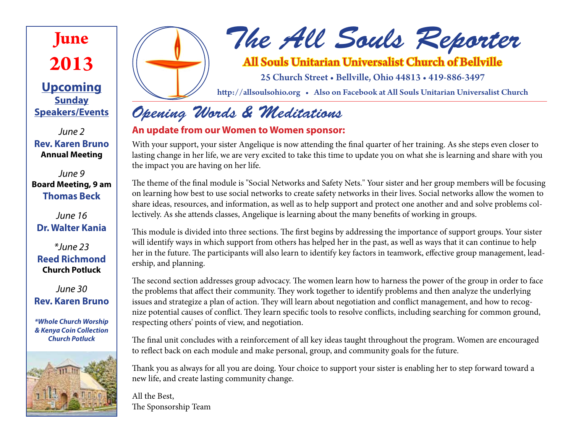## **June 2013**

**Upcoming Sunday Speakers/Events**

*June 2* **Rev. Karen Bruno Annual Meeting**

*June 9* **Board Meeting, 9 am Thomas Beck**

*June 16* **Dr. Walter Kania**

*\*June 23* **Reed Richmond Church Potluck**

*June 30*  **Rev. Karen Bruno**

*\*Whole Church Worship & Kenya Coin Collection Church Potluck*





# *The All Souls Reporter*

### All Souls Unitarian Universalist Church of Bellville

25 Church Street • Bellville, Ohio 44813 • 419-886-3497

http://allsoulsohio.org • Also on Facebook at All Souls Unitarian Universalist Church

### *Opening Words & Meditations*

#### **An update from our Women to Women sponsor:**

With your support, your sister Angelique is now attending the final quarter of her training. As she steps even closer to lasting change in her life, we are very excited to take this time to update you on what she is learning and share with you the impact you are having on her life.

The theme of the final module is "Social Networks and Safety Nets." Your sister and her group members will be focusing on learning how best to use social networks to create safety networks in their lives. Social networks allow the women to share ideas, resources, and information, as well as to help support and protect one another and and solve problems collectively. As she attends classes, Angelique is learning about the many benefits of working in groups.

This module is divided into three sections. The first begins by addressing the importance of support groups. Your sister will identify ways in which support from others has helped her in the past, as well as ways that it can continue to help her in the future. The participants will also learn to identify key factors in teamwork, effective group management, leadership, and planning.

The second section addresses group advocacy. The women learn how to harness the power of the group in order to face the problems that affect their community. They work together to identify problems and then analyze the underlying issues and strategize a plan of action. They will learn about negotiation and conflict management, and how to recognize potential causes of conflict. They learn specific tools to resolve conflicts, including searching for common ground, respecting others' points of view, and negotiation.

The final unit concludes with a reinforcement of all key ideas taught throughout the program. Women are encouraged to reflect back on each module and make personal, group, and community goals for the future.

Thank you as always for all you are doing. Your choice to support your sister is enabling her to step forward toward a new life, and create lasting community change.

All the Best, The Sponsorship Team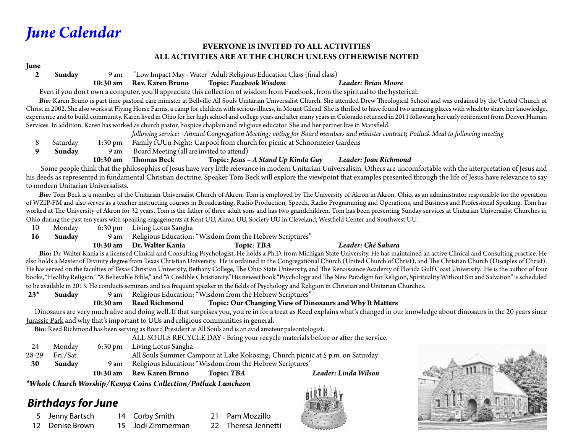### *June Calendar*

#### **EVERYONE IS INVITED TO ALL ACTIVITIES ALL ACTIVITIES ARE AT THE CHURCH UNLESS OTHERWISE NOTED**

#### **June**

**2 Sunday** 9 am "Low Impact May - Water" Adult Religious Education Class (final class)

 **10:30 am Rev. Karen Bruno Topic:** *Facebook Wisdom Leader: Brian Moore*

Even if you don't own a computer, you'll appreciate this collection of wisdom from Facebook, from the spiritual to the hysterical.

Bio: Karen Bruno is part time pastoral care minister at Bellville All Souls Unitarian Universalist Church. She attended Drew Theological School and was ordained by the United Church of Christ in 2002. She also works at Flying Horse Farms, a camp for children with serious illness, in Mount Gilead. She is thrilled to have found two amazing places with which to share her knowledge, experience and to build community. Karen lived in Ohio for her high school and college years and after many years in Colorado returned in 2011 following her early retirement from Denver Human Services. In addition, Karen has worked as church pastor, hospice chaplain and religious educator. She and her partner live in Mansfield.

 *following service: Annual Congregation Meeting: voting for Board members and minister contract; Potluck Meal to following meeting* 8 Saturday 1:30 pm Family f UUn Night: Carpool from church for picnic at Schnormeier Gardens<br>9 Sunday 9 am Board Meeting (all are invited to attend) **Sunday** 9 am Board Meeting (all are invited to attend)  **10:30 am Thomas Beck Topic:** *Jesus – A Stand Up Kinda Guy Leader: Joan Richmond*

 Some people think that the philosophies of Jesus have very little relevance in modern Unitarian Universalism. Others are uncomfortable with the interpretation of Jesus and his deeds as represented in fundamental Christian doctrine. Speaker Tom Beck will explore the viewpoint that examples presented through the life of Jesus have relevance to say to modern Unitarian Universalists.

Bio: Tom Beck is a member of the Unitarian Universalist Church of Akron. Tom is employed by The University of Akron in Akron, Ohio, as an administrator responsible for the operation of WZIP-FM and also serves as a teacher instructing courses in Broadcasting, Radio Production, Speech, Radio Programming and Operations, and Business and Professional Speaking. Tom has worked at The University of Akron for 32 years. Tom is the father of three adult sons and has two grandchildren. Tom has been presenting Sunday services at Unitarian Universalist Churches in Ohio during the past ten years with speaking engagements at Kent UU, Akron UU, Society UU in Cleveland, Westfield Center and Southwest UU.

- 10 Monday 6:30 pm Living Lotus Sangha
- **16 Sunday** 9 am Religious Education: "Wisdom from the Hebrew Scriptures"

#### **10:30 am Dr. Walter Kania Topic**: *TBA Leader: Ché Sahara*

Bio: Dr. Walter Kania is a licensed Clinical and Consulting Psychologist. He holds a Ph.D. from Michigan State University. He has maintained an active Clinical and Consulting practice. He also holds a Master of Divinity degree from Texas Christian University. He is ordained in the Congregational Church (United Church of Christ), and The Christian Church (Disciples of Christ). He has served on the faculties of Texas Christian University, Bethany College, The Ohio State University, and The Renaissance Academy of Florida Gulf Coast University. He is the author of four books, "Healthy Religion," "A Believable Bible," and "A Credible Christianity."His newest book "Psychology and The New Paradigm for Religion, Spirituality Without Sin and Salvation" is scheduled to be available in 2013. He conducts seminars and is a frequent speaker in the fields of Psychology and Religion in Christian and Unitarian Churches.

**23\* Sunday** 9 am Religious Education: "Wisdom from the Hebrew Scriptures"

#### **10:30 am Reed Richmond Topic: Our Changing View of Dinosaurs and Why It Matters**

 Dinosaurs are very much alive and doing well. If that surprises you, you're in for a treat as Reed explains what's changed in our knowledge about dinosaurs in the 20 years since Jurassic Park and why that's important to UUs and religious communities in general.

**Bio**: Reed Richmond has been serving as Board President at All Souls and is an avid amateur paleontologist.

ALL SOULS RECYCLE DAY - Bring your recycle materials before or after the service.

24 Monday 6:30 pm Living Lotus Sangha 28-29 Fri./Sat. All Souls Summer Campout at Lake Kokosing; Church picnic at 5 p.m. on Saturday **30 Sunday** 9 am Religious Education: "Wisdom from the Hebrew Scriptures" **10:30 am Rev. Karen Bruno Topic:** *TBA Leader: Linda Wilson*

*\*Whole Church Worship/Kenya Coins Collection/Potluck Luncheon*

#### *Birthdays for June*

- 5 Jenny Bartsch
- 12 Denise Brown
- 14 Corby Smith 15 Jodi Zimmerman
- Pam Mozzillo
- 22 Theresa Jennetti



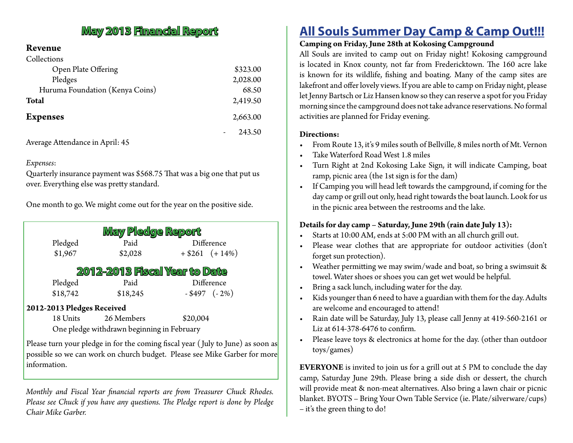#### **May 2013 Financial Report**

#### **Revenue**

| Collections                     |          |
|---------------------------------|----------|
| Open Plate Offering             | \$323.00 |
| Pledges                         | 2,028.00 |
| Huruma Foundation (Kenya Coins) | 68.50    |
| <b>Total</b>                    | 2,419.50 |
| <b>Expenses</b>                 | 2,663.00 |
|                                 | 243.50   |

Average Attendance in April: 45

#### *Expenses*:

Quarterly insurance payment was \$568.75 That was a big one that put us over. Everything else was pretty standard.

One month to go. We might come out for the year on the positive side.

| May Pledge Report                          |          |                                                                                                                                                                                                                                                                                                    |                   |  |
|--------------------------------------------|----------|----------------------------------------------------------------------------------------------------------------------------------------------------------------------------------------------------------------------------------------------------------------------------------------------------|-------------------|--|
|                                            | Pledged  | Paid                                                                                                                                                                                                                                                                                               | Difference        |  |
|                                            | \$1,967  | \$2,028                                                                                                                                                                                                                                                                                            | $+ $261 (+14\%)$  |  |
| <b>2012-2013 Fiscal Year to Date</b>       |          |                                                                                                                                                                                                                                                                                                    |                   |  |
|                                            | Pledged  | Paid                                                                                                                                                                                                                                                                                               | Difference        |  |
|                                            | \$18,742 | \$18,245                                                                                                                                                                                                                                                                                           | $-$ \$497 $(-2%)$ |  |
| 2012-2013 Pledges Received                 |          |                                                                                                                                                                                                                                                                                                    |                   |  |
|                                            | 18 Units | 26 Members                                                                                                                                                                                                                                                                                         | \$20,004          |  |
| One pledge withdrawn beginning in February |          |                                                                                                                                                                                                                                                                                                    |                   |  |
|                                            |          | $\mathbf{M}$ (Times and $\mathbf{M}$ and $\mathbf{M}$ and $\mathbf{M}$ and $\mathbf{M}$ and $\mathbf{M}$ and $\mathbf{M}$ and $\mathbf{M}$ and $\mathbf{M}$ and $\mathbf{M}$ and $\mathbf{M}$ and $\mathbf{M}$ and $\mathbf{M}$ and $\mathbf{M}$ and $\mathbf{M}$ and $\mathbf{M}$ and $\mathbf{M$ |                   |  |

Please turn your pledge in for the coming fiscal year (July to June) as soon as possible so we can work on church budget. Please see Mike Garber for more information.

*Monthly and Fiscal Year financial reports are from Treasurer Chuck Rhodes. Please see Chuck if you have any questions. The Pledge report is done by Pledge Chair Mike Garber.*

### **All Souls Summer Day Camp & Camp Out!!!**

#### **Camping on Friday, June 28th at Kokosing Campground**

All Souls are invited to camp out on Friday night! Kokosing campground is located in Knox county, not far from Fredericktown. The 160 acre lake is known for its wildlife, fishing and boating. Many of the camp sites are lakefront and offer lovely views. If you are able to camp on Friday night, please let Jenny Bartsch or Liz Hansen know so they can reserve a spot for you Friday morning since the campground does not take advance reservations. No formal activities are planned for Friday evening.

#### **Directions:**

- • From Route 13, it's 9 miles south of Bellville, 8 miles north of Mt. Vernon
- Take Waterford Road West 1.8 miles
- Turn Right at 2nd Kokosing Lake Sign, it will indicate Camping, boat ramp, picnic area (the 1st sign is for the dam)
- • If Camping you will head left towards the campground, if coming for the day camp or grill out only, head right towards the boat launch. Look for us in the picnic area between the restrooms and the lake.

#### **Details for day camp – Saturday, June 29th (rain date July 13):**

- Starts at 10:00 AM, ends at 5:00 PM with an all church grill out.
- Please wear clothes that are appropriate for outdoor activities (don't forget sun protection).
- • Weather permitting we may swim/wade and boat, so bring a swimsuit & towel. Water shoes or shoes you can get wet would be helpful.
- Bring a sack lunch, including water for the day.
- • Kids younger than 6 need to have a guardian with them for the day. Adults are welcome and encouraged to attend!
- • Rain date will be Saturday, July 13, please call Jenny at 419-560-2161 or Liz at 614-378-6476 to confirm.
- Please leave toys & electronics at home for the day. (other than outdoor toys/games)

**EVERYONE** is invited to join us for a grill out at 5 PM to conclude the day camp, Saturday June 29th. Please bring a side dish or dessert, the church will provide meat & non-meat alternatives. Also bring a lawn chair or picnic blanket. BYOTS – Bring Your Own Table Service (ie. Plate/silverware/cups) – it's the green thing to do!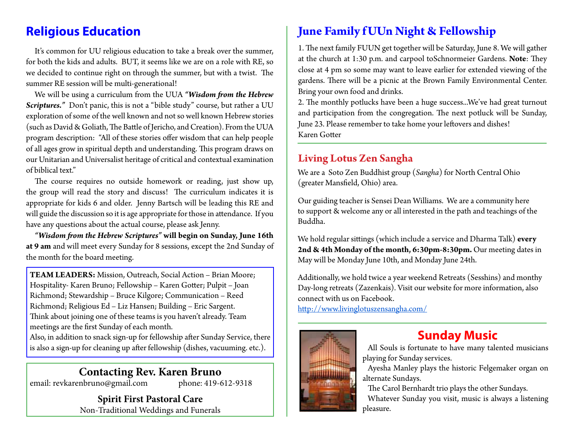It's common for UU religious education to take a break over the summer, for both the kids and adults. BUT, it seems like we are on a role with RE, so we decided to continue right on through the summer, but with a twist. The summer RE session will be multi-generational!

We will be using a curriculum from the UUA *"Wisdom from the Hebrew Scriptures."* Don't panic, this is not a "bible study" course, but rather a UU exploration of some of the well known and not so well known Hebrew stories (such as David & Goliath, The Battle of Jericho, and Creation). From the UUA program description: "All of these stories offer wisdom that can help people of all ages grow in spiritual depth and understanding. This program draws on our Unitarian and Universalist heritage of critical and contextual examination of biblical text."

The course requires no outside homework or reading, just show up, the group will read the story and discuss! The curriculum indicates it is appropriate for kids 6 and older. Jenny Bartsch will be leading this RE and will guide the discussion so it is age appropriate for those in attendance. If you have any questions about the actual course, please ask Jenny.

*"Wisdom from the Hebrew Scriptures"* **will begin on Sunday, June 16th at 9 am** and will meet every Sunday for 8 sessions, except the 2nd Sunday of the month for the board meeting.

**TEAM LEADERS:** Mission, Outreach, Social Action – Brian Moore; Hospitality- Karen Bruno; Fellowship – Karen Gotter; Pulpit – Joan Richmond; Stewardship – Bruce Kilgore; Communication – Reed Richmond; Religious Ed – Liz Hansen; Building – Eric Sargent. Think about joining one of these teams is you haven't already. Team meetings are the first Sunday of each month.

Also, in addition to snack sign-up for fellowship after Sunday Service, there is also a sign-up for cleaning up after fellowship (dishes, vacuuming. etc.).

#### **Contacting Rev. Karen Bruno**

email: revkarenbruno@gmail.com phone: 419-612-9318

**Spirit First Pastoral Care** Non-Traditional Weddings and Funerals

#### **Religious Education June Family f UUn Night & Fellowship**

1. The next family FUUN get together will be Saturday, June 8. We will gather at the church at 1:30 p.m. and carpool toSchnormeier Gardens. **Note**: They close at 4 pm so some may want to leave earlier for extended viewing of the gardens. There will be a picnic at the Brown Family Environmental Center. Bring your own food and drinks.

2. The monthly potlucks have been a huge success...We've had great turnout and participation from the congregation. The next potluck will be Sunday, June 23. Please remember to take home your leftovers and dishes! Karen Gotter

#### **Living Lotus Zen Sangha**

We are a Soto Zen Buddhist group (*Sangha*) for North Central Ohio (greater Mansfield, Ohio) area.

Our guiding teacher is Sensei Dean Williams. We are a community here to support & welcome any or all interested in the path and teachings of the Buddha.

We hold regular sittings (which include a service and Dharma Talk) **every 2nd & 4th Monday of the month, 6:30pm-8:30pm.** Our meeting dates in May will be Monday June 10th, and Monday June 24th.

Additionally, we hold twice a year weekend Retreats (Sesshins) and monthy Day-long retreats (Zazenkais). Visit our website for more information, also connect with us on Facebook.

http://www.livinglotuszensangha.com/



### **Sunday Music**

All Souls is fortunate to have many talented musicians playing for Sunday services.

Ayesha Manley plays the historic Felgemaker organ on alternate Sundays.

The Carol Bernhardt trio plays the other Sundays.

Whatever Sunday you visit, music is always a listening pleasure.